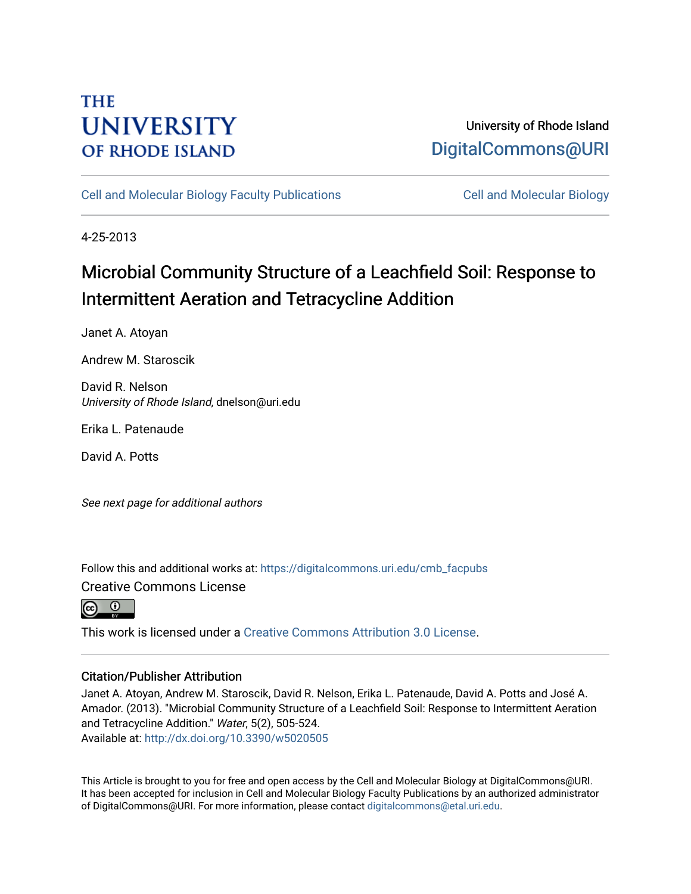# **THE UNIVERSITY OF RHODE ISLAND**

# University of Rhode Island [DigitalCommons@URI](https://digitalcommons.uri.edu/)

[Cell and Molecular Biology Faculty Publications](https://digitalcommons.uri.edu/cmb_facpubs) [Cell and Molecular Biology](https://digitalcommons.uri.edu/cmb) 

4-25-2013

# Microbial Community Structure of a Leachfield Soil: Response to Intermittent Aeration and Tetracycline Addition

Janet A. Atoyan

Andrew M. Staroscik

David R. Nelson University of Rhode Island, dnelson@uri.edu

Erika L. Patenaude

David A. Potts

See next page for additional authors

Follow this and additional works at: [https://digitalcommons.uri.edu/cmb\\_facpubs](https://digitalcommons.uri.edu/cmb_facpubs?utm_source=digitalcommons.uri.edu%2Fcmb_facpubs%2F23&utm_medium=PDF&utm_campaign=PDFCoverPages)  Creative Commons License

 $\odot$   $\odot$ 

This work is licensed under a [Creative Commons Attribution 3.0 License](https://creativecommons.org/licenses/by/3.0/).

# Citation/Publisher Attribution

Janet A. Atoyan, Andrew M. Staroscik, David R. Nelson, Erika L. Patenaude, David A. Potts and José A. Amador. (2013). "Microbial Community Structure of a Leachfield Soil: Response to Intermittent Aeration and Tetracycline Addition." Water, 5(2), 505-524. Available at:<http://dx.doi.org/10.3390/w5020505>

This Article is brought to you for free and open access by the Cell and Molecular Biology at DigitalCommons@URI. It has been accepted for inclusion in Cell and Molecular Biology Faculty Publications by an authorized administrator of DigitalCommons@URI. For more information, please contact [digitalcommons@etal.uri.edu](mailto:digitalcommons@etal.uri.edu).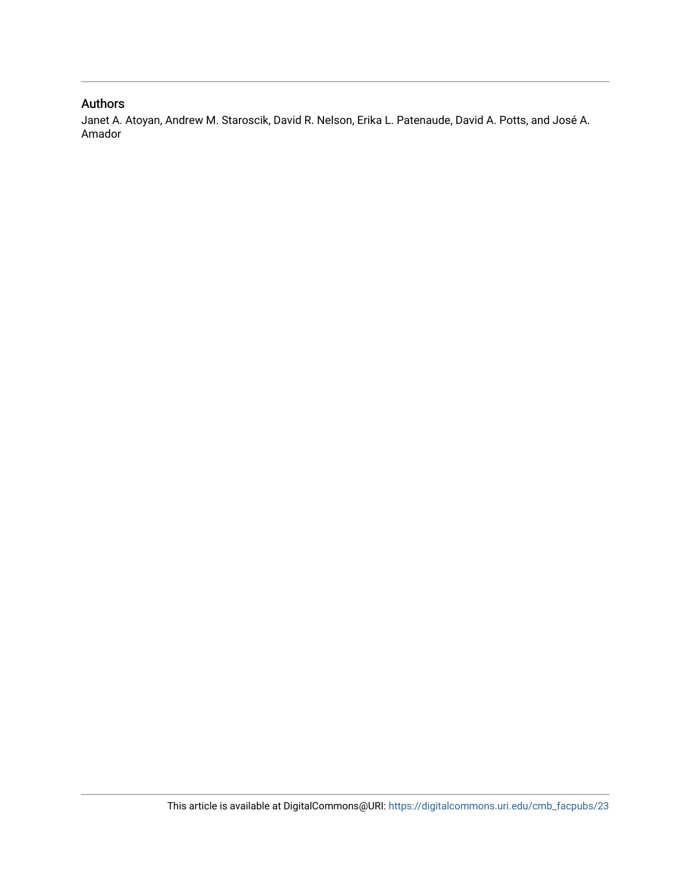### Authors

Janet A. Atoyan, Andrew M. Staroscik, David R. Nelson, Erika L. Patenaude, David A. Potts, and José A. Amador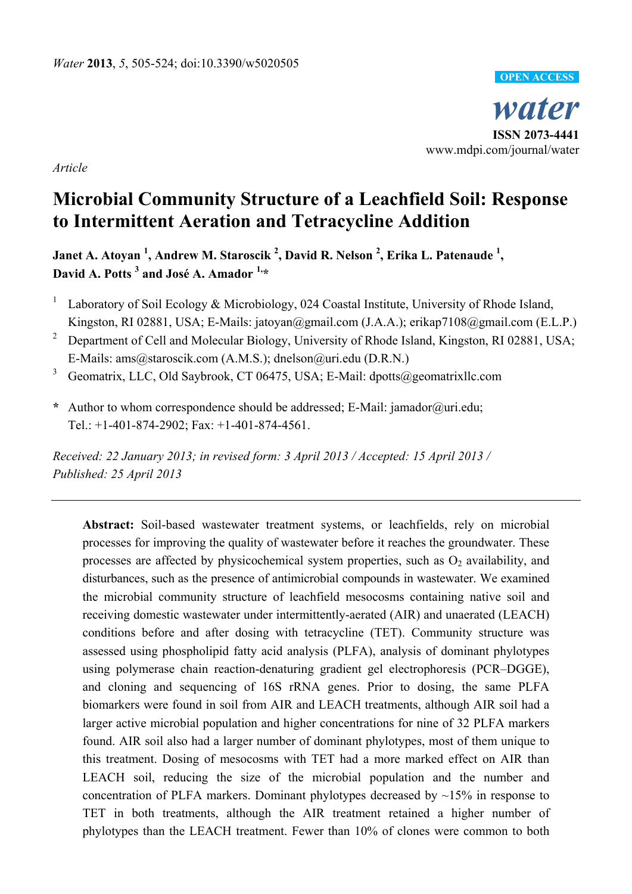

*Article* 

# **Microbial Community Structure of a Leachfield Soil: Response to Intermittent Aeration and Tetracycline Addition**

Janet A. Atoyan <sup>1</sup>, Andrew M. Staroscik <sup>2</sup>, David R. Nelson <sup>2</sup>, Erika L. Patenaude <sup>1</sup>, **David A. Potts <sup>3</sup> and José A. Amador 1,\***

- 1 Laboratory of Soil Ecology & Microbiology, 024 Coastal Institute, University of Rhode Island, Kingston, RI 02881, USA; E-Mails: jatoyan@gmail.com (J.A.A.); erikap7108@gmail.com (E.L.P.)
- 2 Department of Cell and Molecular Biology, University of Rhode Island, Kingston, RI 02881, USA; E-Mails: ams@staroscik.com (A.M.S.); dnelson@uri.edu (D.R.N.)
- <sup>3</sup> Geomatrix, LLC, Old Saybrook, CT 06475, USA; E-Mail: dpotts@geomatrixllc.com
- **\*** Author to whom correspondence should be addressed; E-Mail: jamador@uri.edu; Tel.: +1-401-874-2902; Fax: +1-401-874-4561.

*Received: 22 January 2013; in revised form: 3 April 2013 / Accepted: 15 April 2013 / Published: 25 April 2013* 

**Abstract:** Soil-based wastewater treatment systems, or leachfields, rely on microbial processes for improving the quality of wastewater before it reaches the groundwater. These processes are affected by physicochemical system properties, such as  $O_2$  availability, and disturbances, such as the presence of antimicrobial compounds in wastewater. We examined the microbial community structure of leachfield mesocosms containing native soil and receiving domestic wastewater under intermittently-aerated (AIR) and unaerated (LEACH) conditions before and after dosing with tetracycline (TET). Community structure was assessed using phospholipid fatty acid analysis (PLFA), analysis of dominant phylotypes using polymerase chain reaction-denaturing gradient gel electrophoresis (PCR–DGGE), and cloning and sequencing of 16S rRNA genes. Prior to dosing, the same PLFA biomarkers were found in soil from AIR and LEACH treatments, although AIR soil had a larger active microbial population and higher concentrations for nine of 32 PLFA markers found. AIR soil also had a larger number of dominant phylotypes, most of them unique to this treatment. Dosing of mesocosms with TET had a more marked effect on AIR than LEACH soil, reducing the size of the microbial population and the number and concentration of PLFA markers. Dominant phylotypes decreased by ~15% in response to TET in both treatments, although the AIR treatment retained a higher number of phylotypes than the LEACH treatment. Fewer than 10% of clones were common to both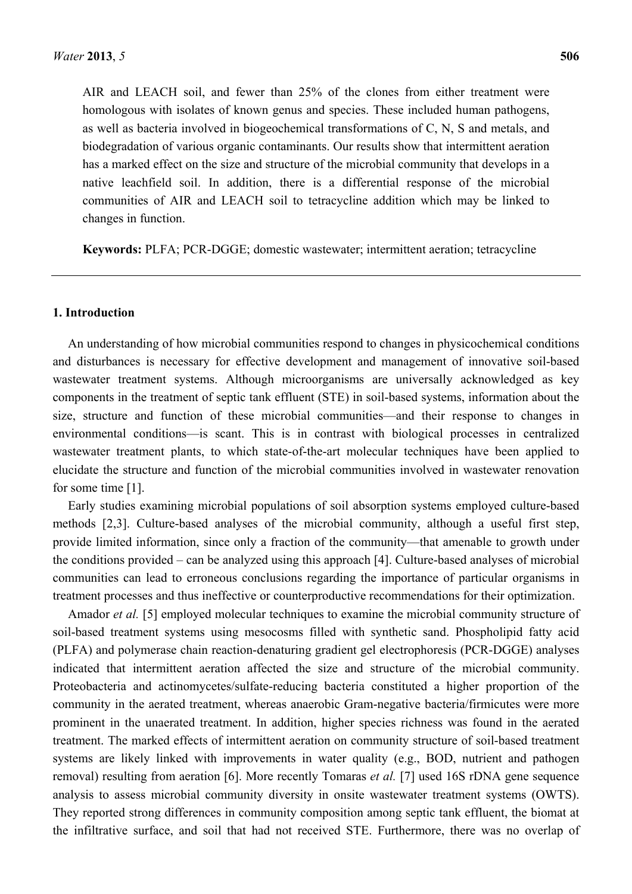AIR and LEACH soil, and fewer than 25% of the clones from either treatment were homologous with isolates of known genus and species. These included human pathogens, as well as bacteria involved in biogeochemical transformations of C, N, S and metals, and biodegradation of various organic contaminants. Our results show that intermittent aeration has a marked effect on the size and structure of the microbial community that develops in a native leachfield soil. In addition, there is a differential response of the microbial communities of AIR and LEACH soil to tetracycline addition which may be linked to changes in function.

**Keywords:** PLFA; PCR-DGGE; domestic wastewater; intermittent aeration; tetracycline

#### **1. Introduction**

An understanding of how microbial communities respond to changes in physicochemical conditions and disturbances is necessary for effective development and management of innovative soil-based wastewater treatment systems. Although microorganisms are universally acknowledged as key components in the treatment of septic tank effluent (STE) in soil-based systems, information about the size, structure and function of these microbial communities—and their response to changes in environmental conditions—is scant. This is in contrast with biological processes in centralized wastewater treatment plants, to which state-of-the-art molecular techniques have been applied to elucidate the structure and function of the microbial communities involved in wastewater renovation for some time [1].

Early studies examining microbial populations of soil absorption systems employed culture-based methods [2,3]. Culture-based analyses of the microbial community, although a useful first step, provide limited information, since only a fraction of the community—that amenable to growth under the conditions provided – can be analyzed using this approach [4]. Culture-based analyses of microbial communities can lead to erroneous conclusions regarding the importance of particular organisms in treatment processes and thus ineffective or counterproductive recommendations for their optimization.

Amador *et al.* [5] employed molecular techniques to examine the microbial community structure of soil-based treatment systems using mesocosms filled with synthetic sand. Phospholipid fatty acid (PLFA) and polymerase chain reaction-denaturing gradient gel electrophoresis (PCR-DGGE) analyses indicated that intermittent aeration affected the size and structure of the microbial community. Proteobacteria and actinomycetes/sulfate-reducing bacteria constituted a higher proportion of the community in the aerated treatment, whereas anaerobic Gram-negative bacteria/firmicutes were more prominent in the unaerated treatment. In addition, higher species richness was found in the aerated treatment. The marked effects of intermittent aeration on community structure of soil-based treatment systems are likely linked with improvements in water quality (e.g., BOD, nutrient and pathogen removal) resulting from aeration [6]. More recently Tomaras *et al.* [7] used 16S rDNA gene sequence analysis to assess microbial community diversity in onsite wastewater treatment systems (OWTS). They reported strong differences in community composition among septic tank effluent, the biomat at the infiltrative surface, and soil that had not received STE. Furthermore, there was no overlap of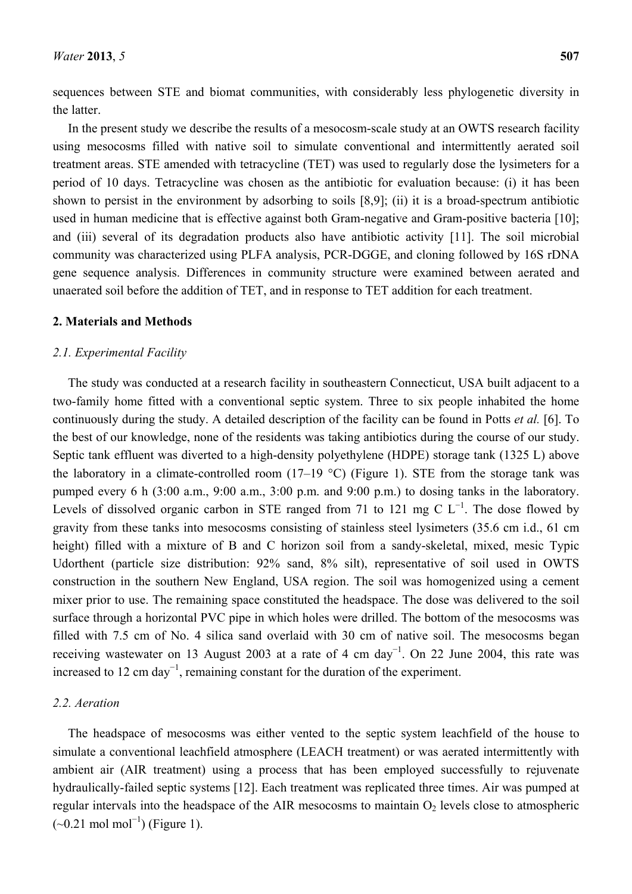sequences between STE and biomat communities, with considerably less phylogenetic diversity in the latter.

In the present study we describe the results of a mesocosm-scale study at an OWTS research facility using mesocosms filled with native soil to simulate conventional and intermittently aerated soil treatment areas. STE amended with tetracycline (TET) was used to regularly dose the lysimeters for a period of 10 days. Tetracycline was chosen as the antibiotic for evaluation because: (i) it has been shown to persist in the environment by adsorbing to soils [8,9]; (ii) it is a broad-spectrum antibiotic used in human medicine that is effective against both Gram-negative and Gram-positive bacteria [10]; and (iii) several of its degradation products also have antibiotic activity [11]. The soil microbial community was characterized using PLFA analysis, PCR-DGGE, and cloning followed by 16S rDNA gene sequence analysis. Differences in community structure were examined between aerated and unaerated soil before the addition of TET, and in response to TET addition for each treatment.

#### **2. Materials and Methods**

#### *2.1. Experimental Facility*

The study was conducted at a research facility in southeastern Connecticut, USA built adjacent to a two-family home fitted with a conventional septic system. Three to six people inhabited the home continuously during the study. A detailed description of the facility can be found in Potts *et al.* [6]. To the best of our knowledge, none of the residents was taking antibiotics during the course of our study. Septic tank effluent was diverted to a high-density polyethylene (HDPE) storage tank (1325 L) above the laboratory in a climate-controlled room  $(17-19 \degree C)$  (Figure 1). STE from the storage tank was pumped every 6 h (3:00 a.m., 9:00 a.m., 3:00 p.m. and 9:00 p.m.) to dosing tanks in the laboratory. Levels of dissolved organic carbon in STE ranged from 71 to 121 mg C  $L^{-1}$ . The dose flowed by gravity from these tanks into mesocosms consisting of stainless steel lysimeters (35.6 cm i.d., 61 cm height) filled with a mixture of B and C horizon soil from a sandy-skeletal, mixed, mesic Typic Udorthent (particle size distribution: 92% sand, 8% silt), representative of soil used in OWTS construction in the southern New England, USA region. The soil was homogenized using a cement mixer prior to use. The remaining space constituted the headspace. The dose was delivered to the soil surface through a horizontal PVC pipe in which holes were drilled. The bottom of the mesocosms was filled with 7.5 cm of No. 4 silica sand overlaid with 30 cm of native soil. The mesocosms began receiving wastewater on 13 August 2003 at a rate of 4 cm day<sup>-1</sup>. On 22 June 2004, this rate was increased to 12 cm day<sup>-1</sup>, remaining constant for the duration of the experiment.

## *2.2. Aeration*

The headspace of mesocosms was either vented to the septic system leachfield of the house to simulate a conventional leachfield atmosphere (LEACH treatment) or was aerated intermittently with ambient air (AIR treatment) using a process that has been employed successfully to rejuvenate hydraulically-failed septic systems [12]. Each treatment was replicated three times. Air was pumped at regular intervals into the headspace of the AIR mesocosms to maintain  $O<sub>2</sub>$  levels close to atmospheric  $(\sim 0.21 \text{ mol mol}^{-1})$  (Figure 1).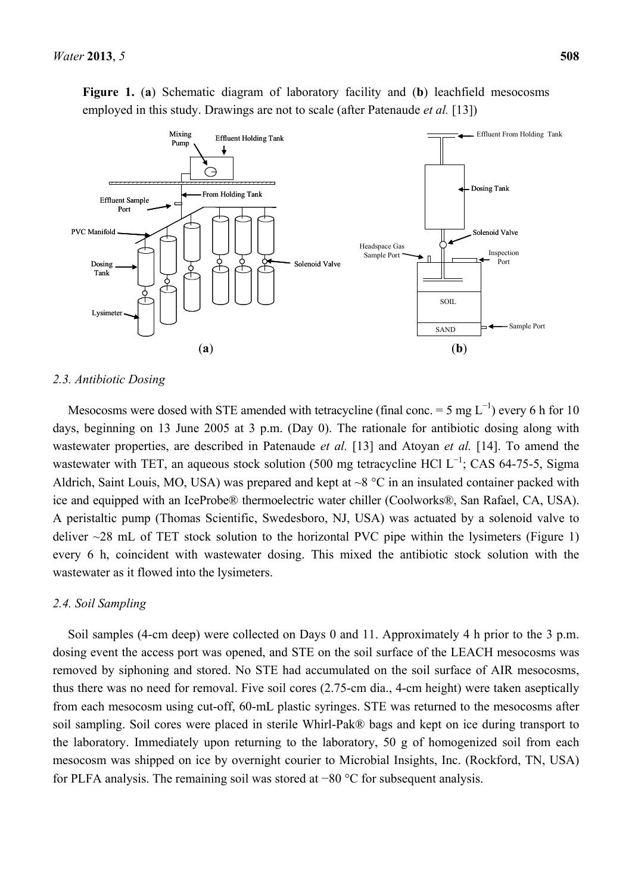

**Figure 1.** (**a**) Schematic diagram of laboratory facility and (**b**) leachfield mesocosms employed in this study. Drawings are not to scale (after Patenaude *et al.* [13])

# *2.3. Antibiotic Dosing*

Mesocosms were dosed with STE amended with tetracycline (final conc. = 5 mg  $L^{-1}$ ) every 6 h for 10 days, beginning on 13 June 2005 at 3 p.m. (Day 0). The rationale for antibiotic dosing along with wastewater properties, are described in Patenaude *et al.* [13] and Atoyan *et al.* [14]. To amend the wastewater with TET, an aqueous stock solution (500 mg tetracycline HCl  $L^{-1}$ ; CAS 64-75-5, Sigma Aldrich, Saint Louis, MO, USA) was prepared and kept at  $\sim 8$  °C in an insulated container packed with ice and equipped with an IceProbe® thermoelectric water chiller (Coolworks®, San Rafael, CA, USA). A peristaltic pump (Thomas Scientific, Swedesboro, NJ, USA) was actuated by a solenoid valve to deliver  $\sim$ 28 mL of TET stock solution to the horizontal PVC pipe within the lysimeters (Figure 1) every 6 h, coincident with wastewater dosing. This mixed the antibiotic stock solution with the wastewater as it flowed into the lysimeters.

# *2.4. Soil Sampling*

Soil samples (4-cm deep) were collected on Days 0 and 11. Approximately 4 h prior to the 3 p.m. dosing event the access port was opened, and STE on the soil surface of the LEACH mesocosms was removed by siphoning and stored. No STE had accumulated on the soil surface of AIR mesocosms, thus there was no need for removal. Five soil cores (2.75-cm dia., 4-cm height) were taken aseptically from each mesocosm using cut-off, 60-mL plastic syringes. STE was returned to the mesocosms after soil sampling. Soil cores were placed in sterile Whirl-Pak® bags and kept on ice during transport to the laboratory. Immediately upon returning to the laboratory, 50 g of homogenized soil from each mesocosm was shipped on ice by overnight courier to Microbial Insights, Inc. (Rockford, TN, USA) for PLFA analysis. The remaining soil was stored at −80 °C for subsequent analysis.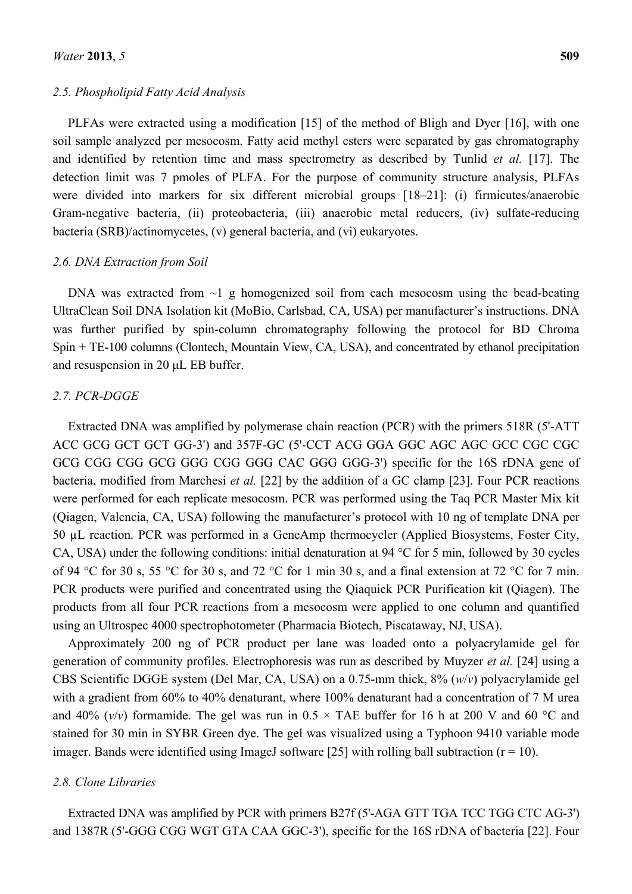#### *2.5. Phospholipid Fatty Acid Analysis*

PLFAs were extracted using a modification [15] of the method of Bligh and Dyer [16], with one soil sample analyzed per mesocosm. Fatty acid methyl esters were separated by gas chromatography and identified by retention time and mass spectrometry as described by Tunlid *et al.* [17]. The detection limit was 7 pmoles of PLFA. For the purpose of community structure analysis, PLFAs were divided into markers for six different microbial groups [18–21]: (i) firmicutes/anaerobic Gram-negative bacteria, (ii) proteobacteria, (iii) anaerobic metal reducers, (iv) sulfate-reducing bacteria (SRB)/actinomycetes, (v) general bacteria, and (vi) eukaryotes.

### *2.6. DNA Extraction from Soil*

DNA was extracted from  $\sim$ 1 g homogenized soil from each mesocosm using the bead-beating UltraClean Soil DNA Isolation kit (MoBio, Carlsbad, CA, USA) per manufacturer's instructions. DNA was further purified by spin-column chromatography following the protocol for BD Chroma Spin + TE-100 columns (Clontech, Mountain View, CA, USA), and concentrated by ethanol precipitation and resuspension in 20 μL EB buffer.

## *2.7. PCR-DGGE*

Extracted DNA was amplified by polymerase chain reaction (PCR) with the primers 518R (5'-ATT ACC GCG GCT GCT GG-3') and 357F-GC (5'-CCT ACG GGA GGC AGC AGC GCC CGC CGC GCG CGG CGG GCG GGG CGG GGG CAC GGG GGG-3') specific for the 16S rDNA gene of bacteria, modified from Marchesi *et al.* [22] by the addition of a GC clamp [23]. Four PCR reactions were performed for each replicate mesocosm. PCR was performed using the Taq PCR Master Mix kit (Qiagen, Valencia, CA, USA) following the manufacturer's protocol with 10 ng of template DNA per 50 µL reaction. PCR was performed in a GeneAmp thermocycler (Applied Biosystems, Foster City, CA, USA) under the following conditions: initial denaturation at 94 °C for 5 min, followed by 30 cycles of 94 °C for 30 s, 55 °C for 30 s, and 72 °C for 1 min 30 s, and a final extension at 72 °C for 7 min. PCR products were purified and concentrated using the Qiaquick PCR Purification kit (Qiagen). The products from all four PCR reactions from a mesocosm were applied to one column and quantified using an Ultrospec 4000 spectrophotometer (Pharmacia Biotech, Piscataway, NJ, USA).

Approximately 200 ng of PCR product per lane was loaded onto a polyacrylamide gel for generation of community profiles. Electrophoresis was run as described by Muyzer *et al.* [24] using a CBS Scientific DGGE system (Del Mar, CA, USA) on a 0.75-mm thick, 8% (*w*/*v*) polyacrylamide gel with a gradient from 60% to 40% denaturant, where 100% denaturant had a concentration of 7 M urea and 40% ( $v/v$ ) formamide. The gel was run in 0.5  $\times$  TAE buffer for 16 h at 200 V and 60 °C and stained for 30 min in SYBR Green dye. The gel was visualized using a Typhoon 9410 variable mode imager. Bands were identified using ImageJ software [25] with rolling ball subtraction  $(r = 10)$ .

# *2.8. Clone Libraries*

Extracted DNA was amplified by PCR with primers B27f (5'-AGA GTT TGA TCC TGG CTC AG-3') and 1387R (5'-GGG CGG WGT GTA CAA GGC-3'), specific for the 16S rDNA of bacteria [22]. Four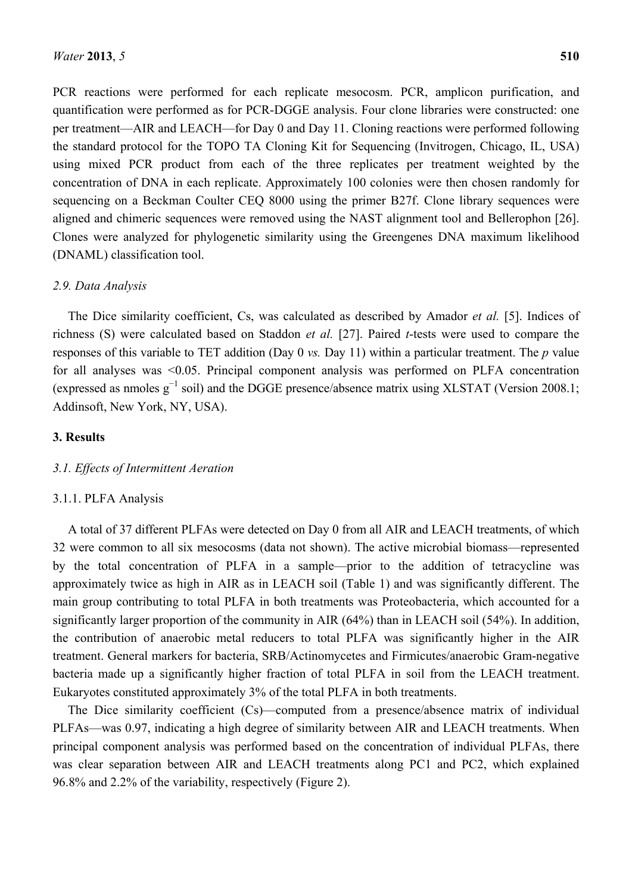PCR reactions were performed for each replicate mesocosm. PCR, amplicon purification, and quantification were performed as for PCR-DGGE analysis. Four clone libraries were constructed: one per treatment—AIR and LEACH—for Day 0 and Day 11. Cloning reactions were performed following the standard protocol for the TOPO TA Cloning Kit for Sequencing (Invitrogen, Chicago, IL, USA) using mixed PCR product from each of the three replicates per treatment weighted by the concentration of DNA in each replicate. Approximately 100 colonies were then chosen randomly for sequencing on a Beckman Coulter CEQ 8000 using the primer B27f. Clone library sequences were aligned and chimeric sequences were removed using the NAST alignment tool and Bellerophon [26]. Clones were analyzed for phylogenetic similarity using the Greengenes DNA maximum likelihood (DNAML) classification tool.

#### *2.9. Data Analysis*

The Dice similarity coefficient, Cs, was calculated as described by Amador *et al.* [5]. Indices of richness (S) were calculated based on Staddon *et al.* [27]. Paired *t*-tests were used to compare the responses of this variable to TET addition (Day 0 *vs.* Day 11) within a particular treatment. The *p* value for all analyses was <0.05. Principal component analysis was performed on PLFA concentration (expressed as nmoles  $g^{-1}$  soil) and the DGGE presence/absence matrix using XLSTAT (Version 2008.1; Addinsoft, New York, NY, USA).

#### **3. Results**

#### *3.1. Effects of Intermittent Aeration*

#### 3.1.1. PLFA Analysis

A total of 37 different PLFAs were detected on Day 0 from all AIR and LEACH treatments, of which 32 were common to all six mesocosms (data not shown). The active microbial biomass—represented by the total concentration of PLFA in a sample—prior to the addition of tetracycline was approximately twice as high in AIR as in LEACH soil (Table 1) and was significantly different. The main group contributing to total PLFA in both treatments was Proteobacteria, which accounted for a significantly larger proportion of the community in AIR (64%) than in LEACH soil (54%). In addition, the contribution of anaerobic metal reducers to total PLFA was significantly higher in the AIR treatment. General markers for bacteria, SRB/Actinomycetes and Firmicutes/anaerobic Gram-negative bacteria made up a significantly higher fraction of total PLFA in soil from the LEACH treatment. Eukaryotes constituted approximately 3% of the total PLFA in both treatments.

The Dice similarity coefficient (Cs)—computed from a presence/absence matrix of individual PLFAs—was 0.97, indicating a high degree of similarity between AIR and LEACH treatments. When principal component analysis was performed based on the concentration of individual PLFAs, there was clear separation between AIR and LEACH treatments along PC1 and PC2, which explained 96.8% and 2.2% of the variability, respectively (Figure 2).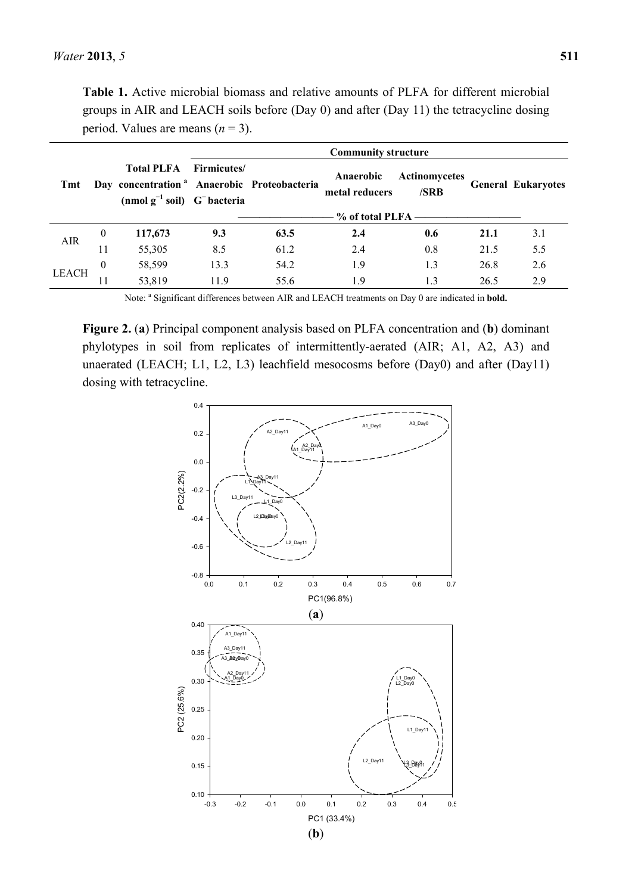|              |          | groups in Arix and LEACH Sons before (Day 0) and arich (Day 11) the tenacycline dosing<br>period. Values are means $(n = 3)$ . |                            |      |                             |                       |                      |                           |  |
|--------------|----------|--------------------------------------------------------------------------------------------------------------------------------|----------------------------|------|-----------------------------|-----------------------|----------------------|---------------------------|--|
|              |          | <b>Total PLFA</b><br>Day concentration <sup>a</sup> Anaerobic Proteobacteria<br>$(nmol)g^{-1}sol$ G <sup>-</sup> bacteria      | <b>Community structure</b> |      |                             |                       |                      |                           |  |
| Tmt          |          |                                                                                                                                | <b>Firmicutes</b> /        |      | Anaerobic<br>metal reducers | Actinomycetes<br>/SRB |                      | <b>General Eukaryotes</b> |  |
|              |          |                                                                                                                                |                            |      |                             |                       |                      |                           |  |
| <b>AIR</b>   | $\theta$ | 117,673                                                                                                                        | 9.3                        | 63.5 | 2.4                         | 0.6                   | 21.1                 | 3.1                       |  |
|              | 11       | 55,305                                                                                                                         | 8.5                        | 61.2 | 2.4                         | 0.8                   | 21.5                 | 5.5                       |  |
| <b>LEACH</b> | $\theta$ | 58,599                                                                                                                         | 13.3                       | 54.2 | 1.9                         | 1.3                   | 26.8                 | 2.6                       |  |
|              |          | $   -$                                                                                                                         | $\sim$ $\sim$              |      |                             |                       | $\sim$ $\sim$ $\sim$ | $\sim$ $\sim$             |  |

**Table 1.** Active microbial biomass and relative amounts of PLFA for different microbial groups in AIR and LEACH soils before  $(Day 0)$  and after  $(Day 11)$  the tetracycline dosing

Note: <sup>a</sup> Significant differences between AIR and LEACH treatments on Day 0 are indicated in **bold.** 

11 53,819 11.9 55.6 1.9 1.3 26.5 2.9

**Figure 2.** (**a**) Principal component analysis based on PLFA concentration and (**b**) dominant phylotypes in soil from replicates of intermittently-aerated (AIR; A1, A2, A3) and unaerated (LEACH; L1, L2, L3) leachfield mesocosms before (Day0) and after (Day11) dosing with tetracycline.

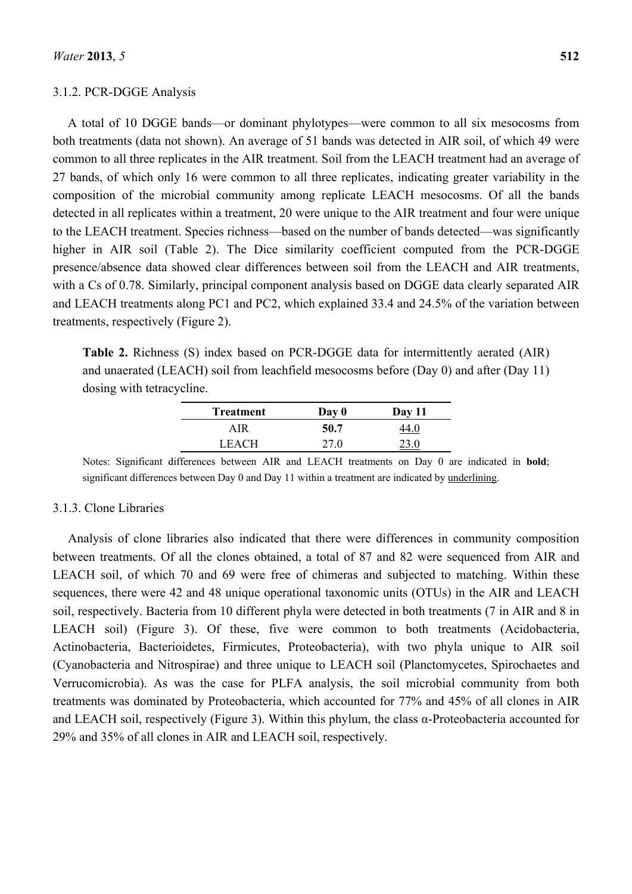#### 3.1.2. PCR-DGGE Analysis

A total of 10 DGGE bands—or dominant phylotypes—were common to all six mesocosms from both treatments (data not shown). An average of 51 bands was detected in AIR soil, of which 49 were common to all three replicates in the AIR treatment. Soil from the LEACH treatment had an average of 27 bands, of which only 16 were common to all three replicates, indicating greater variability in the composition of the microbial community among replicate LEACH mesocosms. Of all the bands detected in all replicates within a treatment, 20 were unique to the AIR treatment and four were unique to the LEACH treatment. Species richness—based on the number of bands detected—was significantly higher in AIR soil (Table 2). The Dice similarity coefficient computed from the PCR-DGGE presence/absence data showed clear differences between soil from the LEACH and AIR treatments, with a Cs of 0.78. Similarly, principal component analysis based on DGGE data clearly separated AIR and LEACH treatments along PC1 and PC2, which explained 33.4 and 24.5% of the variation between treatments, respectively (Figure 2).

**Table 2.** Richness (S) index based on PCR-DGGE data for intermittently aerated (AIR) and unaerated (LEACH) soil from leachfield mesocosms before (Day 0) and after (Day 11) dosing with tetracycline.

| <b>Treatment</b> | Day 0 | Day 11 |
|------------------|-------|--------|
|                  | 50.7  |        |
| <b>LEACH</b>     | 27 0  |        |

Notes: Significant differences between AIR and LEACH treatments on Day 0 are indicated in **bold**; significant differences between Day 0 and Day 11 within a treatment are indicated by underlining.

# 3.1.3. Clone Libraries

Analysis of clone libraries also indicated that there were differences in community composition between treatments. Of all the clones obtained, a total of 87 and 82 were sequenced from AIR and LEACH soil, of which 70 and 69 were free of chimeras and subjected to matching. Within these sequences, there were 42 and 48 unique operational taxonomic units (OTUs) in the AIR and LEACH soil, respectively. Bacteria from 10 different phyla were detected in both treatments (7 in AIR and 8 in LEACH soil) (Figure 3). Of these, five were common to both treatments (Acidobacteria, Actinobacteria, Bacterioidetes, Firmicutes, Proteobacteria), with two phyla unique to AIR soil (Cyanobacteria and Nitrospirae) and three unique to LEACH soil (Planctomycetes, Spirochaetes and Verrucomicrobia). As was the case for PLFA analysis, the soil microbial community from both treatments was dominated by Proteobacteria, which accounted for 77% and 45% of all clones in AIR and LEACH soil, respectively (Figure 3). Within this phylum, the class  $\alpha$ -Proteobacteria accounted for 29% and 35% of all clones in AIR and LEACH soil, respectively.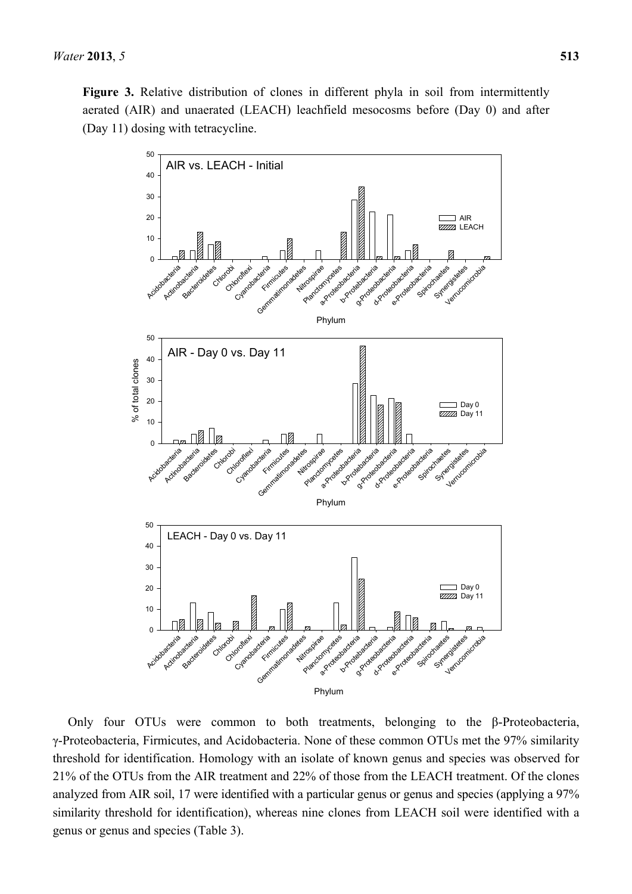Figure 3. Relative distribution of clones in different phyla in soil from intermittently aerated (AIR) and unaerated (LEACH) leachfield mesocosms before (Day 0) and after (Day 11) dosing with tetracycline.



Only four OTUs were common to both treatments, belonging to the β-Proteobacteria, γ-Proteobacteria, Firmicutes, and Acidobacteria. None of these common OTUs met the 97% similarity threshold for identification. Homology with an isolate of known genus and species was observed for 21% of the OTUs from the AIR treatment and 22% of those from the LEACH treatment. Of the clones analyzed from AIR soil, 17 were identified with a particular genus or genus and species (applying a 97% similarity threshold for identification), whereas nine clones from LEACH soil were identified with a genus or genus and species (Table 3).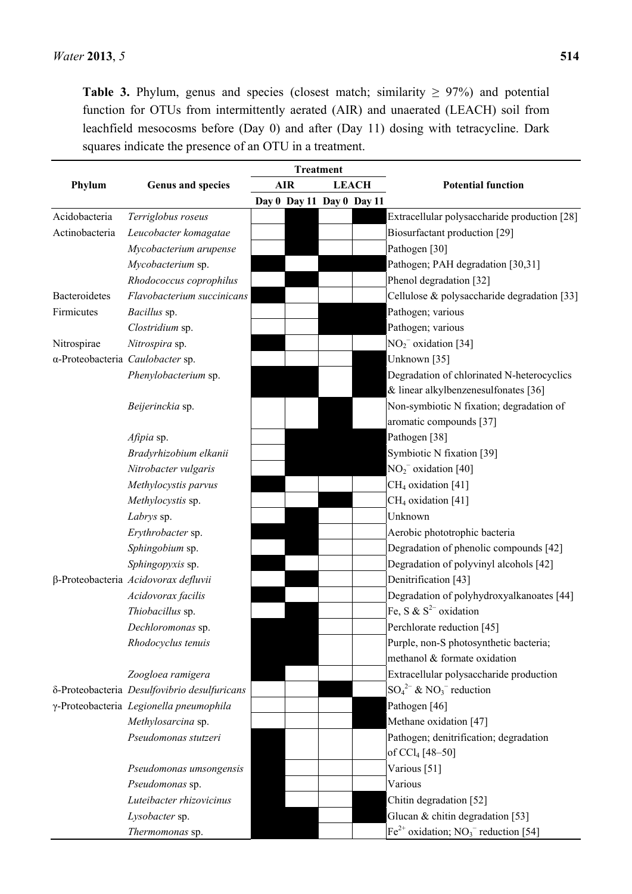**Table 3.** Phylum, genus and species (closest match; similarity  $\geq 97\%$ ) and potential function for OTUs from intermittently aerated (AIR) and unaerated (LEACH) soil from leachfield mesocosms before (Day 0) and after (Day 11) dosing with tetracycline. Dark squares indicate the presence of an OTU in a treatment.

|                                  |                                              |                            | <b>Treatment</b>          |  |                                                                |  |
|----------------------------------|----------------------------------------------|----------------------------|---------------------------|--|----------------------------------------------------------------|--|
| Phylum                           | <b>Genus and species</b>                     | <b>AIR</b><br><b>LEACH</b> |                           |  | <b>Potential function</b>                                      |  |
|                                  |                                              |                            | Day 0 Day 11 Day 0 Day 11 |  |                                                                |  |
| Acidobacteria                    | Terriglobus roseus                           |                            |                           |  | Extracellular polysaccharide production [28]                   |  |
| Actinobacteria                   | Leucobacter komagatae                        |                            |                           |  | Biosurfactant production [29]                                  |  |
|                                  | Mycobacterium arupense                       |                            |                           |  | Pathogen [30]                                                  |  |
|                                  | Mycobacterium sp.                            |                            |                           |  | Pathogen; PAH degradation [30,31]                              |  |
|                                  | Rhodococcus coprophilus                      |                            |                           |  | Phenol degradation [32]                                        |  |
| Bacteroidetes                    | Flavobacterium succinicans                   |                            |                           |  | Cellulose & polysaccharide degradation [33]                    |  |
| Firmicutes                       | Bacillus sp.                                 |                            |                           |  | Pathogen; various                                              |  |
|                                  | Clostridium sp.                              |                            |                           |  | Pathogen; various                                              |  |
| Nitrospirae                      | Nitrospira sp.                               |                            |                           |  | $NO2- oxidation [34]$                                          |  |
| α-Proteobacteria Caulobacter sp. |                                              |                            |                           |  | Unknown [35]                                                   |  |
|                                  | Phenylobacterium sp.                         |                            |                           |  | Degradation of chlorinated N-heterocyclics                     |  |
|                                  |                                              |                            |                           |  | & linear alkylbenzenesulfonates [36]                           |  |
|                                  | Beijerinckia sp.                             |                            |                           |  | Non-symbiotic N fixation; degradation of                       |  |
|                                  |                                              |                            |                           |  | aromatic compounds [37]                                        |  |
|                                  | Afipia sp.                                   |                            |                           |  | Pathogen [38]                                                  |  |
|                                  | Bradyrhizobium elkanii                       |                            |                           |  | Symbiotic N fixation [39]                                      |  |
|                                  | Nitrobacter vulgaris                         |                            |                           |  | $NO2- oxidation [40]$                                          |  |
|                                  | Methylocystis parvus                         |                            |                           |  | CH <sub>4</sub> oxidation [41]                                 |  |
|                                  | Methylocystis sp.                            |                            |                           |  | CH <sub>4</sub> oxidation [41]                                 |  |
|                                  | Labrys sp.                                   |                            |                           |  | Unknown                                                        |  |
|                                  | Erythrobacter sp.                            |                            |                           |  | Aerobic phototrophic bacteria                                  |  |
|                                  | Sphingobium sp.                              |                            |                           |  | Degradation of phenolic compounds [42]                         |  |
|                                  | Sphingopyxis sp.                             |                            |                           |  | Degradation of polyvinyl alcohols [42]                         |  |
|                                  | β-Proteobacteria Acidovorax defluvii         |                            |                           |  | Denitrification [43]                                           |  |
|                                  | Acidovorax facilis                           |                            |                           |  | Degradation of polyhydroxyalkanoates [44]                      |  |
|                                  | Thiobacillus sp.                             |                            |                           |  | Fe, S & $S^{2-}$ oxidation                                     |  |
|                                  | Dechloromonas sp.                            |                            |                           |  | Perchlorate reduction [45]                                     |  |
|                                  | Rhodocyclus tenuis                           |                            |                           |  | Purple, non-S photosynthetic bacteria;                         |  |
|                                  |                                              |                            |                           |  | methanol & formate oxidation                                   |  |
|                                  | Zoogloea ramigera                            |                            |                           |  | Extracellular polysaccharide production                        |  |
|                                  | 8-Proteobacteria Desulfovibrio desulfuricans |                            |                           |  | $SO_4^2$ <sup>-</sup> & NO <sub>3</sub> <sup>-</sup> reduction |  |
|                                  | γ-Proteobacteria Legionella pneumophila      |                            |                           |  | Pathogen [46]                                                  |  |
|                                  | Methylosarcina sp.                           |                            |                           |  | Methane oxidation [47]                                         |  |
|                                  | Pseudomonas stutzeri                         |                            |                           |  | Pathogen; denitrification; degradation                         |  |
|                                  |                                              |                            |                           |  | of CCl <sub>4</sub> [48-50]                                    |  |
|                                  | Pseudomonas umsongensis                      |                            |                           |  | Various [51]                                                   |  |
|                                  | Pseudomonas sp.                              |                            |                           |  | Various                                                        |  |
|                                  | Luteibacter rhizovicinus                     |                            |                           |  | Chitin degradation [52]                                        |  |
|                                  | Lysobacter sp.                               |                            |                           |  | Glucan & chitin degradation $[53]$                             |  |
|                                  | Thermomonas sp.                              |                            |                           |  | $Fe2+$ oxidation; NO <sub>3</sub> <sup>-</sup> reduction [54]  |  |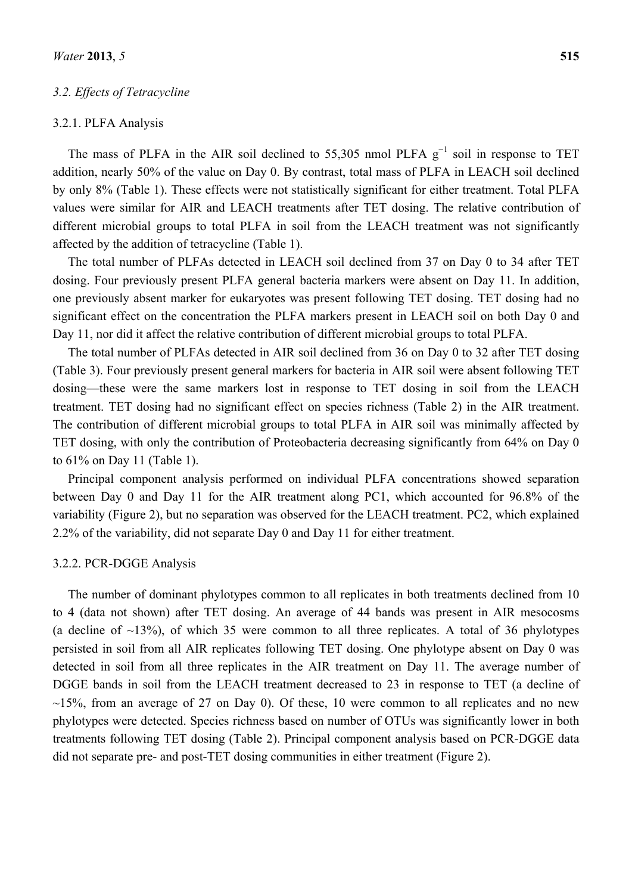#### *3.2. Effects of Tetracycline*

# 3.2.1. PLFA Analysis

The mass of PLFA in the AIR soil declined to 55,305 nmol PLFA  $g^{-1}$  soil in response to TET addition, nearly 50% of the value on Day 0. By contrast, total mass of PLFA in LEACH soil declined by only 8% (Table 1). These effects were not statistically significant for either treatment. Total PLFA values were similar for AIR and LEACH treatments after TET dosing. The relative contribution of different microbial groups to total PLFA in soil from the LEACH treatment was not significantly affected by the addition of tetracycline (Table 1).

The total number of PLFAs detected in LEACH soil declined from 37 on Day 0 to 34 after TET dosing. Four previously present PLFA general bacteria markers were absent on Day 11. In addition, one previously absent marker for eukaryotes was present following TET dosing. TET dosing had no significant effect on the concentration the PLFA markers present in LEACH soil on both Day 0 and Day 11, nor did it affect the relative contribution of different microbial groups to total PLFA.

The total number of PLFAs detected in AIR soil declined from 36 on Day 0 to 32 after TET dosing (Table 3). Four previously present general markers for bacteria in AIR soil were absent following TET dosing—these were the same markers lost in response to TET dosing in soil from the LEACH treatment. TET dosing had no significant effect on species richness (Table 2) in the AIR treatment. The contribution of different microbial groups to total PLFA in AIR soil was minimally affected by TET dosing, with only the contribution of Proteobacteria decreasing significantly from 64% on Day 0 to 61% on Day 11 (Table 1).

Principal component analysis performed on individual PLFA concentrations showed separation between Day 0 and Day 11 for the AIR treatment along PC1, which accounted for 96.8% of the variability (Figure 2), but no separation was observed for the LEACH treatment. PC2, which explained 2.2% of the variability, did not separate Day 0 and Day 11 for either treatment.

# 3.2.2. PCR-DGGE Analysis

The number of dominant phylotypes common to all replicates in both treatments declined from 10 to 4 (data not shown) after TET dosing. An average of 44 bands was present in AIR mesocosms (a decline of  $\sim$ 13%), of which 35 were common to all three replicates. A total of 36 phylotypes persisted in soil from all AIR replicates following TET dosing. One phylotype absent on Day 0 was detected in soil from all three replicates in the AIR treatment on Day 11. The average number of DGGE bands in soil from the LEACH treatment decreased to 23 in response to TET (a decline of  $\sim$ 15%, from an average of 27 on Day 0). Of these, 10 were common to all replicates and no new phylotypes were detected. Species richness based on number of OTUs was significantly lower in both treatments following TET dosing (Table 2). Principal component analysis based on PCR-DGGE data did not separate pre- and post-TET dosing communities in either treatment (Figure 2).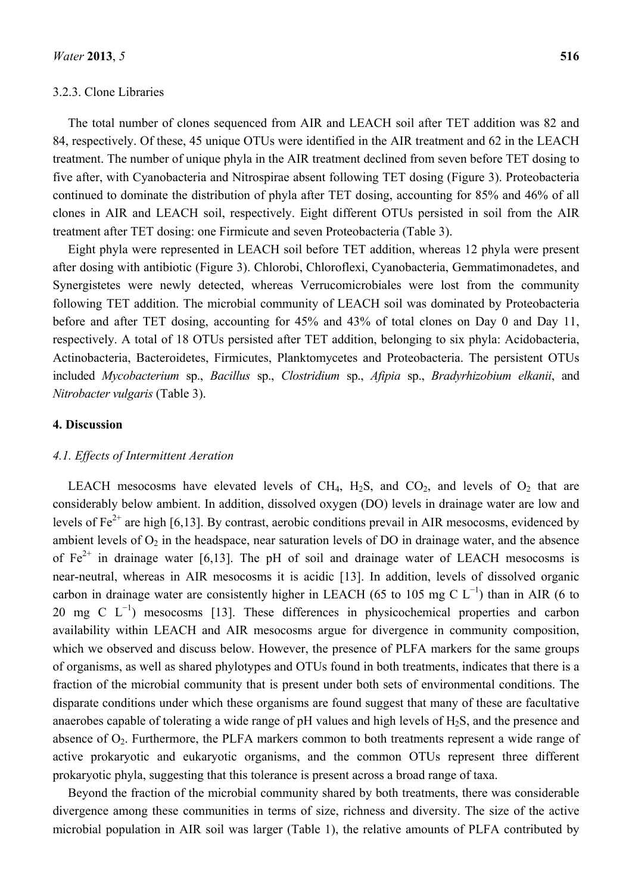### 3.2.3. Clone Libraries

The total number of clones sequenced from AIR and LEACH soil after TET addition was 82 and 84, respectively. Of these, 45 unique OTUs were identified in the AIR treatment and 62 in the LEACH treatment. The number of unique phyla in the AIR treatment declined from seven before TET dosing to five after, with Cyanobacteria and Nitrospirae absent following TET dosing (Figure 3). Proteobacteria continued to dominate the distribution of phyla after TET dosing, accounting for 85% and 46% of all clones in AIR and LEACH soil, respectively. Eight different OTUs persisted in soil from the AIR treatment after TET dosing: one Firmicute and seven Proteobacteria (Table 3).

Eight phyla were represented in LEACH soil before TET addition, whereas 12 phyla were present after dosing with antibiotic (Figure 3). Chlorobi, Chloroflexi, Cyanobacteria, Gemmatimonadetes, and Synergistetes were newly detected, whereas Verrucomicrobiales were lost from the community following TET addition. The microbial community of LEACH soil was dominated by Proteobacteria before and after TET dosing, accounting for 45% and 43% of total clones on Day 0 and Day 11, respectively. A total of 18 OTUs persisted after TET addition, belonging to six phyla: Acidobacteria, Actinobacteria, Bacteroidetes, Firmicutes, Planktomycetes and Proteobacteria. The persistent OTUs included *Mycobacterium* sp., *Bacillus* sp., *Clostridium* sp., *Afipia* sp., *Bradyrhizobium elkanii*, and *Nitrobacter vulgaris* (Table 3).

# **4. Discussion**

#### *4.1. Effects of Intermittent Aeration*

LEACH mesocosms have elevated levels of CH<sub>4</sub>, H<sub>2</sub>S, and CO<sub>2</sub>, and levels of O<sub>2</sub> that are considerably below ambient. In addition, dissolved oxygen (DO) levels in drainage water are low and levels of  $Fe^{2+}$  are high [6,13]. By contrast, aerobic conditions prevail in AIR mesocosms, evidenced by ambient levels of  $O_2$  in the headspace, near saturation levels of DO in drainage water, and the absence of  $Fe^{2+}$  in drainage water [6,13]. The pH of soil and drainage water of LEACH mesocosms is near-neutral, whereas in AIR mesocosms it is acidic [13]. In addition, levels of dissolved organic carbon in drainage water are consistently higher in LEACH (65 to 105 mg C  $L^{-1}$ ) than in AIR (6 to 20 mg C  $L^{-1}$ ) mesocosms [13]. These differences in physicochemical properties and carbon availability within LEACH and AIR mesocosms argue for divergence in community composition, which we observed and discuss below. However, the presence of PLFA markers for the same groups of organisms, as well as shared phylotypes and OTUs found in both treatments, indicates that there is a fraction of the microbial community that is present under both sets of environmental conditions. The disparate conditions under which these organisms are found suggest that many of these are facultative anaerobes capable of tolerating a wide range of pH values and high levels of  $H_2S$ , and the presence and absence of  $O_2$ . Furthermore, the PLFA markers common to both treatments represent a wide range of active prokaryotic and eukaryotic organisms, and the common OTUs represent three different prokaryotic phyla, suggesting that this tolerance is present across a broad range of taxa.

Beyond the fraction of the microbial community shared by both treatments, there was considerable divergence among these communities in terms of size, richness and diversity. The size of the active microbial population in AIR soil was larger (Table 1), the relative amounts of PLFA contributed by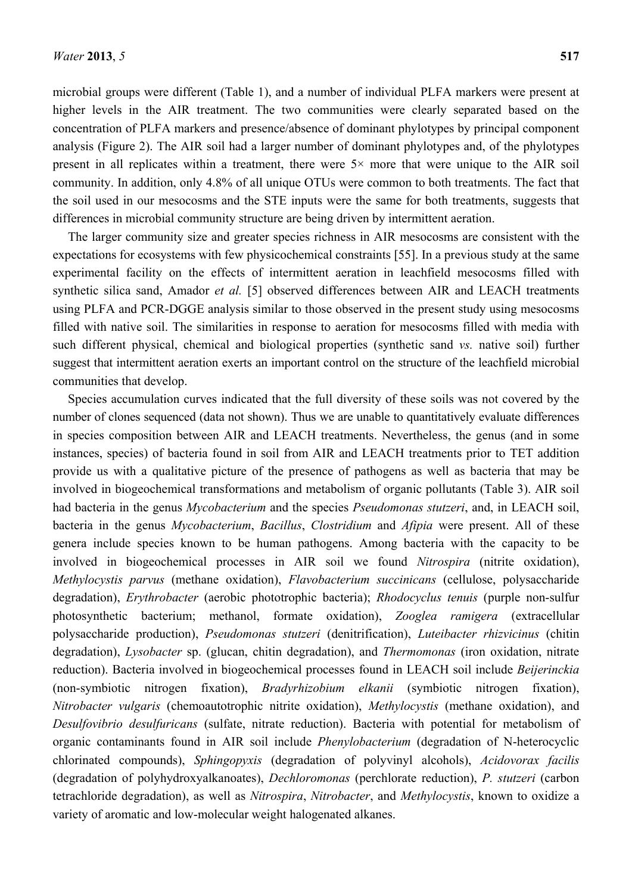microbial groups were different (Table 1), and a number of individual PLFA markers were present at higher levels in the AIR treatment. The two communities were clearly separated based on the concentration of PLFA markers and presence/absence of dominant phylotypes by principal component analysis (Figure 2). The AIR soil had a larger number of dominant phylotypes and, of the phylotypes present in all replicates within a treatment, there were  $5\times$  more that were unique to the AIR soil community. In addition, only 4.8% of all unique OTUs were common to both treatments. The fact that the soil used in our mesocosms and the STE inputs were the same for both treatments, suggests that differences in microbial community structure are being driven by intermittent aeration.

The larger community size and greater species richness in AIR mesocosms are consistent with the expectations for ecosystems with few physicochemical constraints [55]. In a previous study at the same experimental facility on the effects of intermittent aeration in leachfield mesocosms filled with synthetic silica sand, Amador *et al.* [5] observed differences between AIR and LEACH treatments using PLFA and PCR-DGGE analysis similar to those observed in the present study using mesocosms filled with native soil. The similarities in response to aeration for mesocosms filled with media with such different physical, chemical and biological properties (synthetic sand *vs.* native soil) further suggest that intermittent aeration exerts an important control on the structure of the leachfield microbial communities that develop.

Species accumulation curves indicated that the full diversity of these soils was not covered by the number of clones sequenced (data not shown). Thus we are unable to quantitatively evaluate differences in species composition between AIR and LEACH treatments. Nevertheless, the genus (and in some instances, species) of bacteria found in soil from AIR and LEACH treatments prior to TET addition provide us with a qualitative picture of the presence of pathogens as well as bacteria that may be involved in biogeochemical transformations and metabolism of organic pollutants (Table 3). AIR soil had bacteria in the genus *Mycobacterium* and the species *Pseudomonas stutzeri*, and, in LEACH soil, bacteria in the genus *Mycobacterium*, *Bacillus*, *Clostridium* and *Afipia* were present. All of these genera include species known to be human pathogens. Among bacteria with the capacity to be involved in biogeochemical processes in AIR soil we found *Nitrospira* (nitrite oxidation), *Methylocystis parvus* (methane oxidation), *Flavobacterium succinicans* (cellulose, polysaccharide degradation), *Erythrobacter* (aerobic phototrophic bacteria); *Rhodocyclus tenuis* (purple non-sulfur photosynthetic bacterium; methanol, formate oxidation), *Zooglea ramigera* (extracellular polysaccharide production), *Pseudomonas stutzeri* (denitrification), *Luteibacter rhizvicinus* (chitin degradation), *Lysobacter* sp. (glucan, chitin degradation), and *Thermomonas* (iron oxidation, nitrate reduction). Bacteria involved in biogeochemical processes found in LEACH soil include *Beijerinckia* (non-symbiotic nitrogen fixation), *Bradyrhizobium elkanii* (symbiotic nitrogen fixation), *Nitrobacter vulgaris* (chemoautotrophic nitrite oxidation), *Methylocystis* (methane oxidation), and *Desulfovibrio desulfuricans* (sulfate, nitrate reduction). Bacteria with potential for metabolism of organic contaminants found in AIR soil include *Phenylobacterium* (degradation of N-heterocyclic chlorinated compounds), *Sphingopyxis* (degradation of polyvinyl alcohols), *Acidovorax facilis* (degradation of polyhydroxyalkanoates), *Dechloromonas* (perchlorate reduction), *P. stutzeri* (carbon tetrachloride degradation), as well as *Nitrospira*, *Nitrobacter*, and *Methylocystis*, known to oxidize a variety of aromatic and low-molecular weight halogenated alkanes.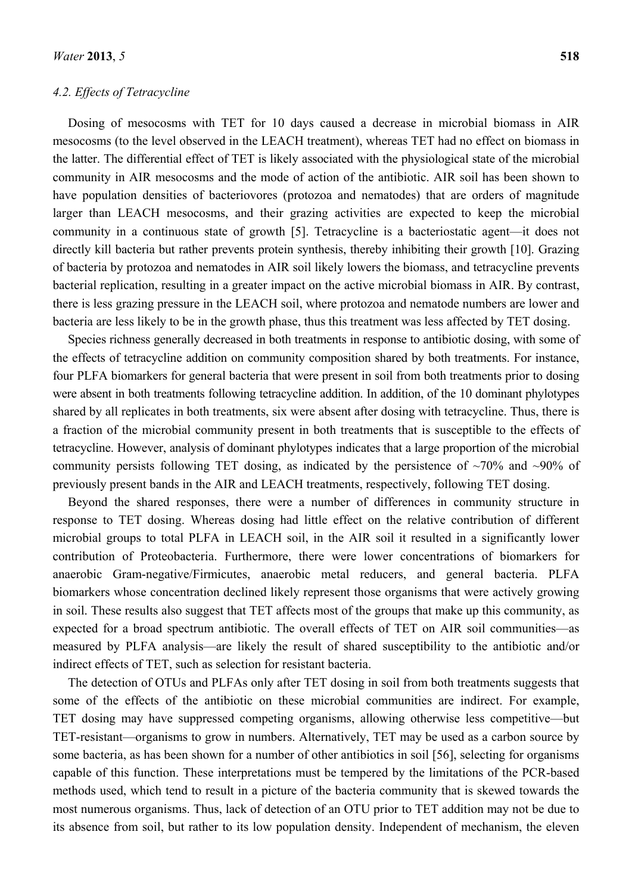# *4.2. Effects of Tetracycline*

Dosing of mesocosms with TET for 10 days caused a decrease in microbial biomass in AIR mesocosms (to the level observed in the LEACH treatment), whereas TET had no effect on biomass in the latter. The differential effect of TET is likely associated with the physiological state of the microbial community in AIR mesocosms and the mode of action of the antibiotic. AIR soil has been shown to have population densities of bacteriovores (protozoa and nematodes) that are orders of magnitude larger than LEACH mesocosms, and their grazing activities are expected to keep the microbial community in a continuous state of growth [5]. Tetracycline is a bacteriostatic agent—it does not directly kill bacteria but rather prevents protein synthesis, thereby inhibiting their growth [10]. Grazing of bacteria by protozoa and nematodes in AIR soil likely lowers the biomass, and tetracycline prevents bacterial replication, resulting in a greater impact on the active microbial biomass in AIR. By contrast, there is less grazing pressure in the LEACH soil, where protozoa and nematode numbers are lower and bacteria are less likely to be in the growth phase, thus this treatment was less affected by TET dosing.

Species richness generally decreased in both treatments in response to antibiotic dosing, with some of the effects of tetracycline addition on community composition shared by both treatments. For instance, four PLFA biomarkers for general bacteria that were present in soil from both treatments prior to dosing were absent in both treatments following tetracycline addition. In addition, of the 10 dominant phylotypes shared by all replicates in both treatments, six were absent after dosing with tetracycline. Thus, there is a fraction of the microbial community present in both treatments that is susceptible to the effects of tetracycline. However, analysis of dominant phylotypes indicates that a large proportion of the microbial community persists following TET dosing, as indicated by the persistence of  $\sim 70\%$  and  $\sim 90\%$  of previously present bands in the AIR and LEACH treatments, respectively, following TET dosing.

Beyond the shared responses, there were a number of differences in community structure in response to TET dosing. Whereas dosing had little effect on the relative contribution of different microbial groups to total PLFA in LEACH soil, in the AIR soil it resulted in a significantly lower contribution of Proteobacteria. Furthermore, there were lower concentrations of biomarkers for anaerobic Gram-negative/Firmicutes, anaerobic metal reducers, and general bacteria. PLFA biomarkers whose concentration declined likely represent those organisms that were actively growing in soil. These results also suggest that TET affects most of the groups that make up this community, as expected for a broad spectrum antibiotic. The overall effects of TET on AIR soil communities—as measured by PLFA analysis—are likely the result of shared susceptibility to the antibiotic and/or indirect effects of TET, such as selection for resistant bacteria.

The detection of OTUs and PLFAs only after TET dosing in soil from both treatments suggests that some of the effects of the antibiotic on these microbial communities are indirect. For example, TET dosing may have suppressed competing organisms, allowing otherwise less competitive—but TET-resistant—organisms to grow in numbers. Alternatively, TET may be used as a carbon source by some bacteria, as has been shown for a number of other antibiotics in soil [56], selecting for organisms capable of this function. These interpretations must be tempered by the limitations of the PCR-based methods used, which tend to result in a picture of the bacteria community that is skewed towards the most numerous organisms. Thus, lack of detection of an OTU prior to TET addition may not be due to its absence from soil, but rather to its low population density. Independent of mechanism, the eleven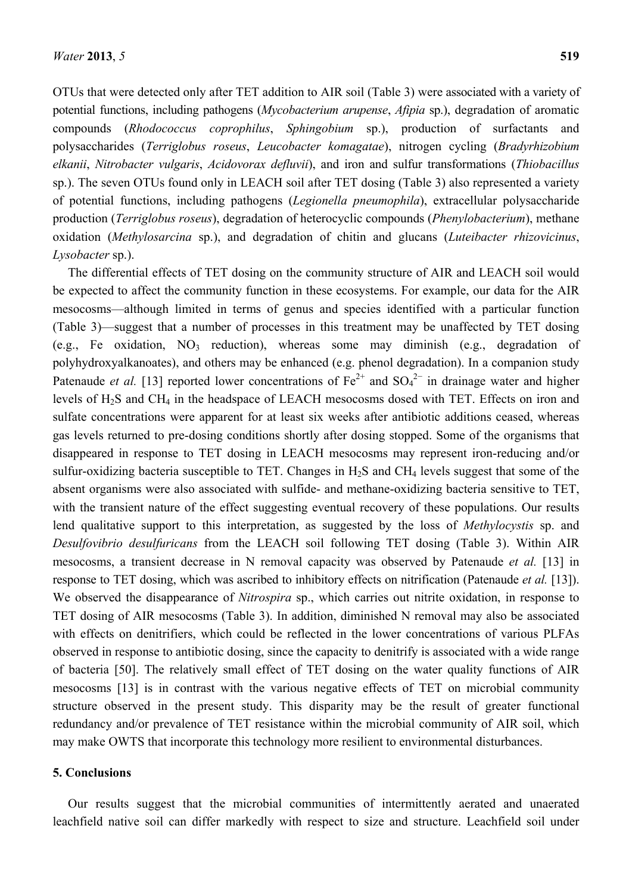OTUs that were detected only after TET addition to AIR soil (Table 3) were associated with a variety of potential functions, including pathogens (*Mycobacterium arupense*, *Afipia* sp.), degradation of aromatic compounds (*Rhodococcus coprophilus*, *Sphingobium* sp.), production of surfactants and polysaccharides (*Terriglobus roseus*, *Leucobacter komagatae*), nitrogen cycling (*Bradyrhizobium elkanii*, *Nitrobacter vulgaris*, *Acidovorax defluvii*), and iron and sulfur transformations (*Thiobacillus* sp.). The seven OTUs found only in LEACH soil after TET dosing (Table 3) also represented a variety of potential functions, including pathogens (*Legionella pneumophila*), extracellular polysaccharide production (*Terriglobus roseus*), degradation of heterocyclic compounds (*Phenylobacterium*), methane oxidation (*Methylosarcina* sp.), and degradation of chitin and glucans (*Luteibacter rhizovicinus*, *Lysobacter* sp.).

The differential effects of TET dosing on the community structure of AIR and LEACH soil would be expected to affect the community function in these ecosystems. For example, our data for the AIR mesocosms—although limited in terms of genus and species identified with a particular function (Table 3)—suggest that a number of processes in this treatment may be unaffected by TET dosing (e.g., Fe oxidation,  $NO_3$  reduction), whereas some may diminish (e.g., degradation of polyhydroxyalkanoates), and others may be enhanced (e.g. phenol degradation). In a companion study Patenaude *et al.* [13] reported lower concentrations of  $Fe^{2+}$  and  $SO_4^{2-}$  in drainage water and higher levels of H2S and CH4 in the headspace of LEACH mesocosms dosed with TET. Effects on iron and sulfate concentrations were apparent for at least six weeks after antibiotic additions ceased, whereas gas levels returned to pre-dosing conditions shortly after dosing stopped. Some of the organisms that disappeared in response to TET dosing in LEACH mesocosms may represent iron-reducing and/or sulfur-oxidizing bacteria susceptible to TET. Changes in  $H_2S$  and CH<sub>4</sub> levels suggest that some of the absent organisms were also associated with sulfide- and methane-oxidizing bacteria sensitive to TET, with the transient nature of the effect suggesting eventual recovery of these populations. Our results lend qualitative support to this interpretation, as suggested by the loss of *Methylocystis* sp. and *Desulfovibrio desulfuricans* from the LEACH soil following TET dosing (Table 3). Within AIR mesocosms, a transient decrease in N removal capacity was observed by Patenaude *et al.* [13] in response to TET dosing, which was ascribed to inhibitory effects on nitrification (Patenaude *et al.* [13]). We observed the disappearance of *Nitrospira* sp., which carries out nitrite oxidation, in response to TET dosing of AIR mesocosms (Table 3). In addition, diminished N removal may also be associated with effects on denitrifiers, which could be reflected in the lower concentrations of various PLFAs observed in response to antibiotic dosing, since the capacity to denitrify is associated with a wide range of bacteria [50]. The relatively small effect of TET dosing on the water quality functions of AIR mesocosms [13] is in contrast with the various negative effects of TET on microbial community structure observed in the present study. This disparity may be the result of greater functional redundancy and/or prevalence of TET resistance within the microbial community of AIR soil, which may make OWTS that incorporate this technology more resilient to environmental disturbances.

#### **5. Conclusions**

Our results suggest that the microbial communities of intermittently aerated and unaerated leachfield native soil can differ markedly with respect to size and structure. Leachfield soil under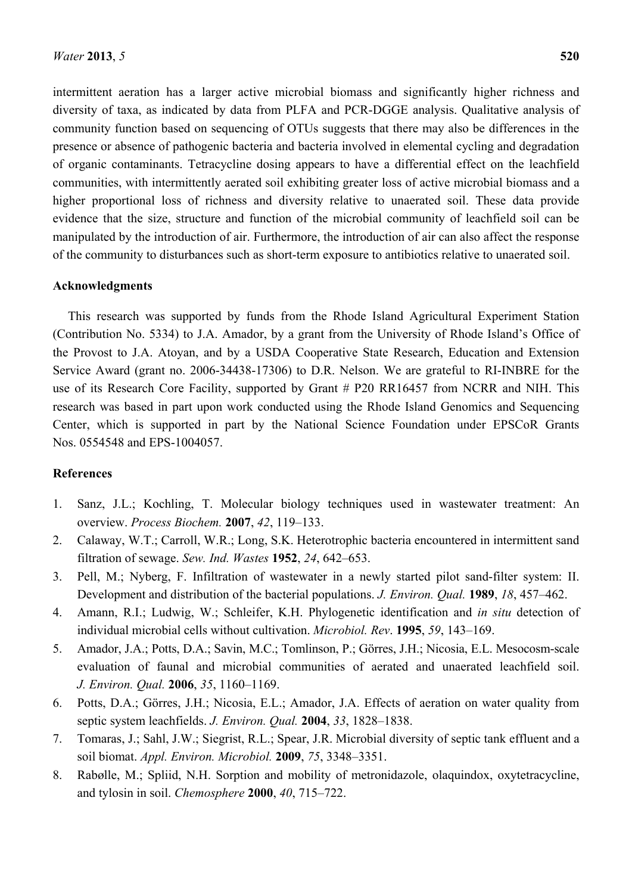intermittent aeration has a larger active microbial biomass and significantly higher richness and diversity of taxa, as indicated by data from PLFA and PCR-DGGE analysis. Qualitative analysis of community function based on sequencing of OTUs suggests that there may also be differences in the presence or absence of pathogenic bacteria and bacteria involved in elemental cycling and degradation of organic contaminants. Tetracycline dosing appears to have a differential effect on the leachfield communities, with intermittently aerated soil exhibiting greater loss of active microbial biomass and a higher proportional loss of richness and diversity relative to unaerated soil. These data provide evidence that the size, structure and function of the microbial community of leachfield soil can be manipulated by the introduction of air. Furthermore, the introduction of air can also affect the response of the community to disturbances such as short-term exposure to antibiotics relative to unaerated soil.

#### **Acknowledgments**

This research was supported by funds from the Rhode Island Agricultural Experiment Station (Contribution No. 5334) to J.A. Amador, by a grant from the University of Rhode Island's Office of the Provost to J.A. Atoyan, and by a USDA Cooperative State Research, Education and Extension Service Award (grant no. 2006-34438-17306) to D.R. Nelson. We are grateful to RI-INBRE for the use of its Research Core Facility, supported by Grant # P20 RR16457 from NCRR and NIH. This research was based in part upon work conducted using the Rhode Island Genomics and Sequencing Center, which is supported in part by the National Science Foundation under EPSCoR Grants Nos. 0554548 and EPS-1004057.

#### **References**

- 1. Sanz, J.L.; Kochling, T. Molecular biology techniques used in wastewater treatment: An overview. *Process Biochem.* **2007**, *42*, 119–133.
- 2. Calaway, W.T.; Carroll, W.R.; Long, S.K. Heterotrophic bacteria encountered in intermittent sand filtration of sewage. *Sew. Ind. Wastes* **1952**, *24*, 642–653.
- 3. Pell, M.; Nyberg, F. Infiltration of wastewater in a newly started pilot sand-filter system: II. Development and distribution of the bacterial populations. *J. Environ. Qual.* **1989**, *18*, 457–462.
- 4. Amann, R.I.; Ludwig, W.; Schleifer, K.H. Phylogenetic identification and *in situ* detection of individual microbial cells without cultivation. *Microbiol. Rev*. **1995**, *59*, 143–169.
- 5. Amador, J.A.; Potts, D.A.; Savin, M.C.; Tomlinson, P.; Görres, J.H.; Nicosia, E.L. Mesocosm-scale evaluation of faunal and microbial communities of aerated and unaerated leachfield soil. *J. Environ. Qual.* **2006**, *35*, 1160–1169.
- 6. Potts, D.A.; Görres, J.H.; Nicosia, E.L.; Amador, J.A. Effects of aeration on water quality from septic system leachfields. *J. Environ. Qual.* **2004**, *33*, 1828–1838.
- 7. Tomaras, J.; Sahl, J.W.; Siegrist, R.L.; Spear, J.R. Microbial diversity of septic tank effluent and a soil biomat. *Appl. Environ. Microbiol.* **2009**, *75*, 3348–3351.
- 8. Rabølle, M.; Spliid, N.H. Sorption and mobility of metronidazole, olaquindox, oxytetracycline, and tylosin in soil. *Chemosphere* **2000**, *40*, 715–722.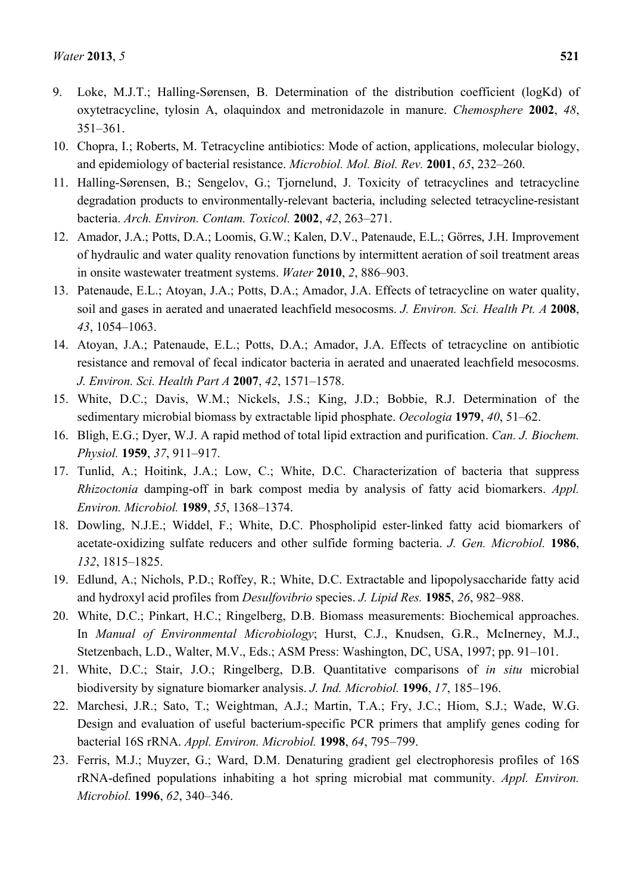- 9. Loke, M.J.T.; Halling-Sørensen, B. Determination of the distribution coefficient (logKd) of oxytetracycline, tylosin A, olaquindox and metronidazole in manure. *Chemosphere* **2002**, *48*, 351–361.
- 10. Chopra, I.; Roberts, M. Tetracycline antibiotics: Mode of action, applications, molecular biology, and epidemiology of bacterial resistance. *Microbiol. Mol. Biol. Rev.* **2001**, *65*, 232–260.
- 11. Halling-Sørensen, B.; Sengelov, G.; Tjornelund, J. Toxicity of tetracyclines and tetracycline degradation products to environmentally-relevant bacteria, including selected tetracycline-resistant bacteria. *Arch. Environ. Contam. Toxicol.* **2002**, *42*, 263–271.
- 12. Amador, J.A.; Potts, D.A.; Loomis, G.W.; Kalen, D.V., Patenaude, E.L.; Görres, J.H. Improvement of hydraulic and water quality renovation functions by intermittent aeration of soil treatment areas in onsite wastewater treatment systems. *Water* **2010**, *2*, 886–903.
- 13. Patenaude, E.L.; Atoyan, J.A.; Potts, D.A.; Amador, J.A. Effects of tetracycline on water quality, soil and gases in aerated and unaerated leachfield mesocosms. *J. Environ. Sci. Health Pt. A* **2008**, *43*, 1054–1063.
- 14. Atoyan, J.A.; Patenaude, E.L.; Potts, D.A.; Amador, J.A. Effects of tetracycline on antibiotic resistance and removal of fecal indicator bacteria in aerated and unaerated leachfield mesocosms. *J. Environ. Sci. Health Part A* **2007**, *42*, 1571–1578.
- 15. White, D.C.; Davis, W.M.; Nickels, J.S.; King, J.D.; Bobbie, R.J. Determination of the sedimentary microbial biomass by extractable lipid phosphate. *Oecologia* **1979**, *40*, 51–62.
- 16. Bligh, E.G.; Dyer, W.J. A rapid method of total lipid extraction and purification. *Can. J. Biochem. Physiol.* **1959**, *37*, 911–917.
- 17. Tunlid, A.; Hoitink, J.A.; Low, C.; White, D.C. Characterization of bacteria that suppress *Rhizoctonia* damping-off in bark compost media by analysis of fatty acid biomarkers. *Appl. Environ. Microbiol.* **1989**, *55*, 1368–1374.
- 18. Dowling, N.J.E.; Widdel, F.; White, D.C. Phospholipid ester-linked fatty acid biomarkers of acetate-oxidizing sulfate reducers and other sulfide forming bacteria. *J. Gen. Microbiol.* **1986**, *132*, 1815–1825.
- 19. Edlund, A.; Nichols, P.D.; Roffey, R.; White, D.C. Extractable and lipopolysaccharide fatty acid and hydroxyl acid profiles from *Desulfovibrio* species. *J. Lipid Res.* **1985**, *26*, 982–988.
- 20. White, D.C.; Pinkart, H.C.; Ringelberg, D.B. Biomass measurements: Biochemical approaches. In *Manual of Environmental Microbiology*; Hurst, C.J., Knudsen, G.R., McInerney, M.J., Stetzenbach, L.D., Walter, M.V., Eds.; ASM Press: Washington, DC, USA, 1997; pp. 91–101.
- 21. White, D.C.; Stair, J.O.; Ringelberg, D.B. Quantitative comparisons of *in situ* microbial biodiversity by signature biomarker analysis. *J. Ind. Microbiol.* **1996**, *17*, 185–196.
- 22. Marchesi, J.R.; Sato, T.; Weightman, A.J.; Martin, T.A.; Fry, J.C.; Hiom, S.J.; Wade, W.G. Design and evaluation of useful bacterium-specific PCR primers that amplify genes coding for bacterial 16S rRNA. *Appl. Environ. Microbiol.* **1998**, *64*, 795–799.
- 23. Ferris, M.J.; Muyzer, G.; Ward, D.M. Denaturing gradient gel electrophoresis profiles of 16S rRNA-defined populations inhabiting a hot spring microbial mat community. *Appl. Environ. Microbiol.* **1996**, *62*, 340–346.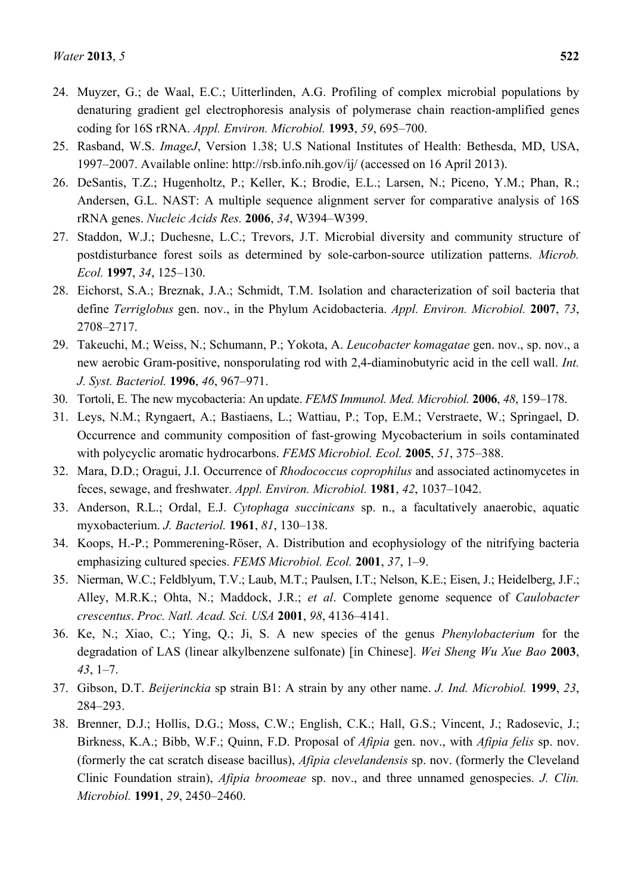- 25. Rasband, W.S. *ImageJ*, Version 1.38; U.S National Institutes of Health: Bethesda, MD, USA, 1997–2007. Available online: http://rsb.info.nih.gov/ij/ (accessed on 16 April 2013).
- 26. DeSantis, T.Z.; Hugenholtz, P.; Keller, K.; Brodie, E.L.; Larsen, N.; Piceno, Y.M.; Phan, R.; Andersen, G.L. NAST: A multiple sequence alignment server for comparative analysis of 16S rRNA genes. *Nucleic Acids Res.* **2006**, *34*, W394–W399.
- 27. Staddon, W.J.; Duchesne, L.C.; Trevors, J.T. Microbial diversity and community structure of postdisturbance forest soils as determined by sole-carbon-source utilization patterns. *Microb. Ecol.* **1997**, *34*, 125–130.
- 28. Eichorst, S.A.; Breznak, J.A.; Schmidt, T.M. Isolation and characterization of soil bacteria that define *Terriglobus* gen. nov., in the Phylum Acidobacteria. *Appl. Environ. Microbiol.* **2007**, *73*, 2708–2717.
- 29. Takeuchi, M.; Weiss, N.; Schumann, P.; Yokota, A. *Leucobacter komagatae* gen. nov., sp. nov., a new aerobic Gram-positive, nonsporulating rod with 2,4-diaminobutyric acid in the cell wall. *Int. J. Syst. Bacteriol.* **1996**, *46*, 967–971.
- 30. Tortoli, E. The new mycobacteria: An update. *FEMS Immunol. Med. Microbiol.* **2006**, *48*, 159–178.
- 31. Leys, N.M.; Ryngaert, A.; Bastiaens, L.; Wattiau, P.; Top, E.M.; Verstraete, W.; Springael, D. Occurrence and community composition of fast-growing Mycobacterium in soils contaminated with polycyclic aromatic hydrocarbons. *FEMS Microbiol. Ecol.* **2005**, *51*, 375–388.
- 32. Mara, D.D.; Oragui, J.I. Occurrence of *Rhodococcus coprophilus* and associated actinomycetes in feces, sewage, and freshwater. *Appl. Environ. Microbiol.* **1981**, *42*, 1037–1042.
- 33. Anderson, R.L.; Ordal, E.J. *Cytophaga succinicans* sp. n., a facultatively anaerobic, aquatic myxobacterium. *J. Bacteriol.* **1961**, *81*, 130–138.
- 34. Koops, H.-P.; Pommerening-Röser, A. Distribution and ecophysiology of the nitrifying bacteria emphasizing cultured species. *FEMS Microbiol. Ecol.* **2001**, *37*, 1–9.
- 35. Nierman, W.C.; Feldblyum, T.V.; Laub, M.T.; Paulsen, I.T.; Nelson, K.E.; Eisen, J.; Heidelberg, J.F.; Alley, M.R.K.; Ohta, N.; Maddock, J.R.; *et al*. Complete genome sequence of *Caulobacter crescentus*. *Proc. Natl. Acad. Sci. USA* **2001**, *98*, 4136–4141.
- 36. Ke, N.; Xiao, C.; Ying, Q.; Ji, S. A new species of the genus *Phenylobacterium* for the degradation of LAS (linear alkylbenzene sulfonate) [in Chinese]. *Wei Sheng Wu Xue Bao* **2003**, *43*, 1–7.
- 37. Gibson, D.T. *Beijerinckia* sp strain B1: A strain by any other name. *J. Ind. Microbiol.* **1999**, *23*, 284–293.
- 38. Brenner, D.J.; Hollis, D.G.; Moss, C.W.; English, C.K.; Hall, G.S.; Vincent, J.; Radosevic, J.; Birkness, K.A.; Bibb, W.F.; Quinn, F.D. Proposal of *Afipia* gen. nov., with *Afipia felis* sp. nov. (formerly the cat scratch disease bacillus), *Afipia clevelandensis* sp. nov. (formerly the Cleveland Clinic Foundation strain), *Afipia broomeae* sp. nov., and three unnamed genospecies. *J. Clin. Microbiol.* **1991**, *29*, 2450–2460.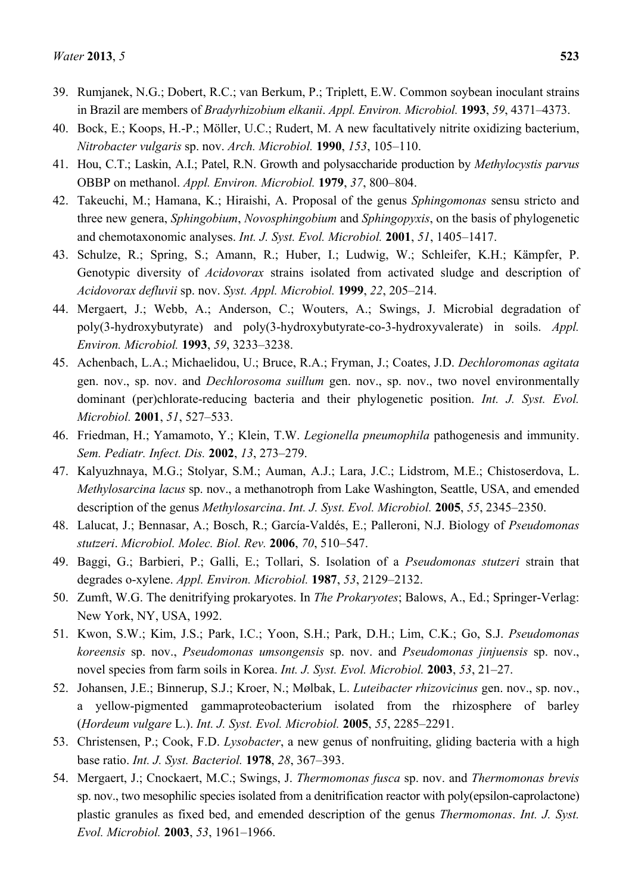- 39. Rumjanek, N.G.; Dobert, R.C.; van Berkum, P.; Triplett, E.W. Common soybean inoculant strains in Brazil are members of *Bradyrhizobium elkanii*. *Appl. Environ. Microbiol.* **1993**, *59*, 4371–4373.
- 40. Bock, E.; Koops, H.-P.; Möller, U.C.; Rudert, M. A new facultatively nitrite oxidizing bacterium, *Nitrobacter vulgaris* sp. nov. *Arch. Microbiol.* **1990**, *153*, 105–110.
- 41. Hou, C.T.; Laskin, A.I.; Patel, R.N. Growth and polysaccharide production by *Methylocystis parvus* OBBP on methanol. *Appl. Environ. Microbiol.* **1979**, *37*, 800–804.
- 42. Takeuchi, M.; Hamana, K.; Hiraishi, A. Proposal of the genus *Sphingomonas* sensu stricto and three new genera, *Sphingobium*, *Novosphingobium* and *Sphingopyxis*, on the basis of phylogenetic and chemotaxonomic analyses. *Int. J. Syst. Evol. Microbiol.* **2001**, *51*, 1405–1417.
- 43. Schulze, R.; Spring, S.; Amann, R.; Huber, I.; Ludwig, W.; Schleifer, K.H.; Kämpfer, P. Genotypic diversity of *Acidovorax* strains isolated from activated sludge and description of *Acidovorax defluvii* sp. nov. *Syst. Appl. Microbiol.* **1999**, *22*, 205–214.
- 44. Mergaert, J.; Webb, A.; Anderson, C.; Wouters, A.; Swings, J. Microbial degradation of poly(3-hydroxybutyrate) and poly(3-hydroxybutyrate-co-3-hydroxyvalerate) in soils. *Appl. Environ. Microbiol.* **1993**, *59*, 3233–3238.
- 45. Achenbach, L.A.; Michaelidou, U.; Bruce, R.A.; Fryman, J.; Coates, J.D. *Dechloromonas agitata* gen. nov., sp. nov. and *Dechlorosoma suillum* gen. nov., sp. nov., two novel environmentally dominant (per)chlorate-reducing bacteria and their phylogenetic position. *Int. J. Syst. Evol. Microbiol.* **2001**, *51*, 527–533.
- 46. Friedman, H.; Yamamoto, Y.; Klein, T.W. *Legionella pneumophila* pathogenesis and immunity. *Sem. Pediatr. Infect. Dis.* **2002**, *13*, 273–279.
- 47. Kalyuzhnaya, M.G.; Stolyar, S.M.; Auman, A.J.; Lara, J.C.; Lidstrom, M.E.; Chistoserdova, L. *Methylosarcina lacus* sp. nov., a methanotroph from Lake Washington, Seattle, USA, and emended description of the genus *Methylosarcina*. *Int. J. Syst. Evol. Microbiol.* **2005**, *55*, 2345–2350.
- 48. Lalucat, J.; Bennasar, A.; Bosch, R.; García-Valdés, E.; Palleroni, N.J. Biology of *Pseudomonas stutzeri*. *Microbiol. Molec. Biol. Rev.* **2006**, *70*, 510–547.
- 49. Baggi, G.; Barbieri, P.; Galli, E.; Tollari, S. Isolation of a *Pseudomonas stutzeri* strain that degrades o-xylene. *Appl. Environ. Microbiol.* **1987**, *53*, 2129–2132.
- 50. Zumft, W.G. The denitrifying prokaryotes. In *The Prokaryotes*; Balows, A., Ed.; Springer-Verlag: New York, NY, USA, 1992.
- 51. Kwon, S.W.; Kim, J.S.; Park, I.C.; Yoon, S.H.; Park, D.H.; Lim, C.K.; Go, S.J. *Pseudomonas koreensis* sp. nov., *Pseudomonas umsongensis* sp. nov. and *Pseudomonas jinjuensis* sp. nov., novel species from farm soils in Korea. *Int. J. Syst. Evol. Microbiol.* **2003**, *53*, 21–27.
- 52. Johansen, J.E.; Binnerup, S.J.; Kroer, N.; Mølbak, L. *Luteibacter rhizovicinus* gen. nov., sp. nov., a yellow-pigmented gammaproteobacterium isolated from the rhizosphere of barley (*Hordeum vulgare* L.). *Int. J. Syst. Evol. Microbiol.* **2005**, *55*, 2285–2291.
- 53. Christensen, P.; Cook, F.D. *Lysobacter*, a new genus of nonfruiting, gliding bacteria with a high base ratio. *Int. J. Syst. Bacteriol.* **1978**, *28*, 367–393.
- 54. Mergaert, J.; Cnockaert, M.C.; Swings, J. *Thermomonas fusca* sp. nov. and *Thermomonas brevis*  sp. nov., two mesophilic species isolated from a denitrification reactor with poly(epsilon-caprolactone) plastic granules as fixed bed, and emended description of the genus *Thermomonas*. *Int. J. Syst. Evol. Microbiol.* **2003**, *53*, 1961–1966.